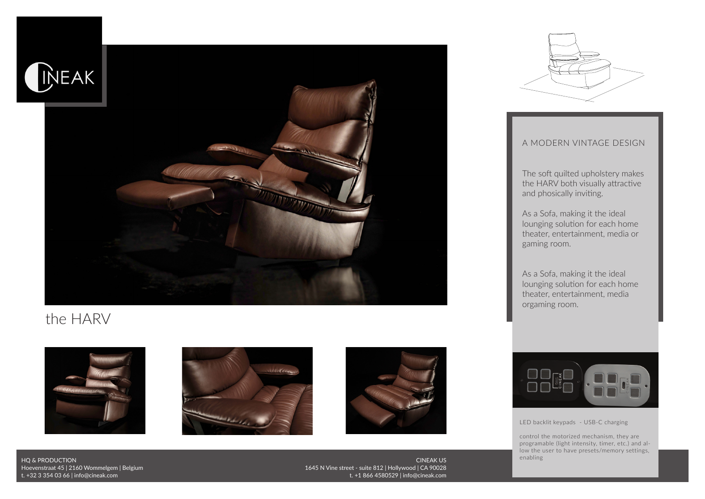

## the HARV









## A MODERN VINTAGE DESIGN

The soft quilted upholstery makes the HARV both visually attractive and phosically inviting.

As a Sofa, making it the ideal lounging solution for each home theater, entertainment, media or gaming room.

As a Sofa, making it the ideal lounging solution for each home theater, entertainment, media orgaming room.



LED backlit keypads - USB-C charging

control the motorized mechanism, they are programable (light intensity, timer, etc.) and allow the user to have presets/memory settings, enabling

HQ & PRODUCTION Hoevenstraat 45 | 2160 Wommelgem | Belgium t. +32 3 354 03 66 | info@cineak.com

CINEAK US 1645 N Vine street - suite 812 | Hollywood | CA 90028 t. +1 866 4580529 | info@cineak.com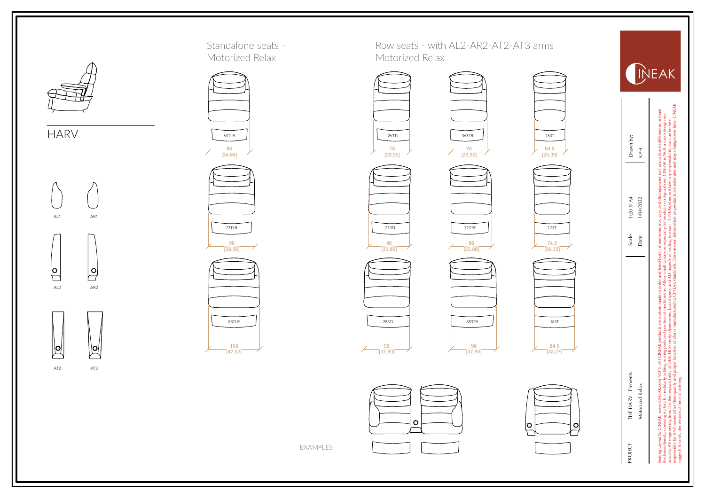







EXAMPLES





![](_page_1_Figure_7.jpeg)

![](_page_1_Picture_8.jpeg)

183 T

O

![](_page_1_Picture_9.jpeg)

![](_page_1_Picture_10.jpeg)

![](_page_1_Picture_11.jpeg)

PROJECT: THE HARV - Elements<br>Motorized Relax<br>stating Layout by CNEM, www.CNEMC.com NC<br>thelmes density, covering matrials, modularly are<br>acoustic AV engineering firm, it is the responsibility<br>responsible for AVI issues othe

Seating Layout by CINEAK, www.CINEAK.com NOTE: All CINEAK products are custom made to order and hand-built - dimensions may vary and discrepancies will occur due to differences in foam<br>hickness/density, overing imm, it is thickness/density, covering materials, modularly adding seating parts and position of mechanisms. Allow small variances-especially for modular configurations. CINEAK is NOT a room design nor<br>accounts AV regimes from it is Date: 1/04/2022 | KPH<br>| KPH<br>| . Motorized Relax 1/04/2022 made to order and hand-built<br>chanisms. Allow small variano products<br>ts and pos<br>verify dime CINEAK<sub>p</sub>

acoustic AV engineering firm, it is the responsibility of DEALER to verify dimensions, layout spects and aspects of seating to room - CINEAK does not take any responsibility nor can be held<br>reggest to verify dimensions at responsible for ANY issues other than quality and proper function of chairs manufactured to CINEAK standards. Dimensional information on products are estimates and may change over time. CINEAK<br>Niggests to verliy dimensions

≣ ¥

Scale: 1/20 @ A4<br>Date: 1/04/2022

Drawn by:<br>KPH

INEAK

es in foam<br>sign nor<br>sheld<br>time. CINEAN हैं है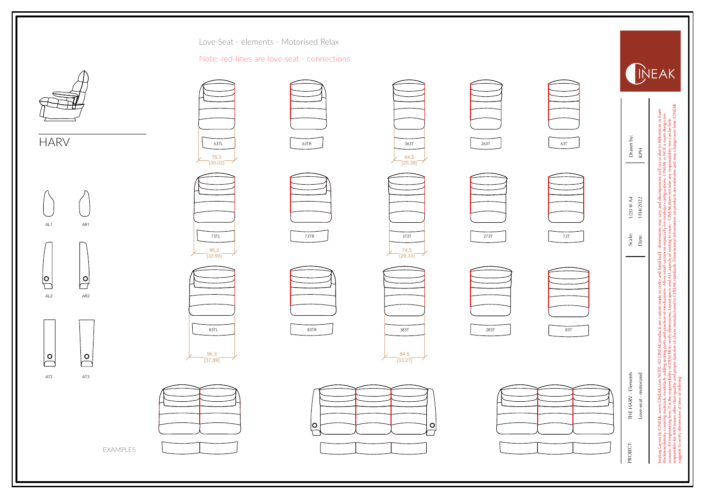![](_page_2_Picture_2.jpeg)

![](_page_2_Figure_3.jpeg)

|                                      | Love Seat - elements - Motorised Relax      |                                      |
|--------------------------------------|---------------------------------------------|--------------------------------------|
|                                      | Note: red-lines are love seat - connections |                                      |
| 63TL<br>$\frac{76,3}{[30,02]}$       | 63TR                                        | 363T<br>64,5<br>[25, 39]             |
| 73TL<br>86,2<br>$\overline{[33,95]}$ | 73TR                                        | 373T<br>74,5<br>$\overline{[29,33]}$ |
| 83TL                                 | 83TR                                        | 383T                                 |
| 96,3<br>[37, 89]                     |                                             | $\frac{84,5}{[33,27]}$               |
|                                      |                                             |                                      |

EXAMPLES

![](_page_2_Figure_6.jpeg)

3 6 3 T

 $\frac{64,5}{[25,39]}$ 

2 6 3 T

| 73TL<br>86,2<br>3,95] | 73TR | 373T<br>$\frac{74,5}{[29,33]}$ | 273T | 73T |
|-----------------------|------|--------------------------------|------|-----|
| 3TL                   | 83TR | 383T<br>84,5                   | 283T | 83T |
| 6,3<br>,89]           |      | $\overline{[33,27]}$           |      |     |

![](_page_2_Figure_8.jpeg)

6 3 T

responsible for ANY issues other than quality and proper function of chairs manufactured to CINEAK standards. Dimensional information on products are estimates and may change over time. CINEAK<br>Niggests to verliy dimensions ences in foam<br>design nor<br>de held<br>le held **GINE** Seating Layout by CINEAK, www.CINEAK.com NOTE: All CINEAK products are custom made to order and hand-built - dimensions may vary and discrepancies will occur due to differences in foam<br>hickness/density, overing imm, it is thickness/density, covering materials, modularly adding seating parts and position of mechanisms. Allow small variances-especially for modular configurations. CINEAK is NOT a room design nor<br>accounts AV regimes from it is acoustic AV engineering firm, it is the responsibility of DEALER to verify dimensions, layout spects and aspects of seating to room - CINEAK does not take any responsibility nor can be held<br>reggest to verify dimensions at Drawn by:<br>KPH to diffe Date: 1/04/2022 | KPH<br>| KPH<br>| . Scale: 1/20 @ A4<br>Date: 1/04/2022 Love-seat - motorized 1/04/2022 All CINEAK products are custom made to order and hand-built<br>seasing parts and position of mechanisms. Allow small variance<br>of unction of chairs manufacturing to CINEAK standards. One<br>of function of chairs manufacturied to PROJECT: THE HARV - Elements<br>Love-seat - motorized<br>stating layoutly CNEM, www.CNEM.com NC<br>hicknes deemity covering matrics, modularly are<br>acoustic AV engineering firm, it is the responsibility<br>responsible for AVI issues ot

**INEAK**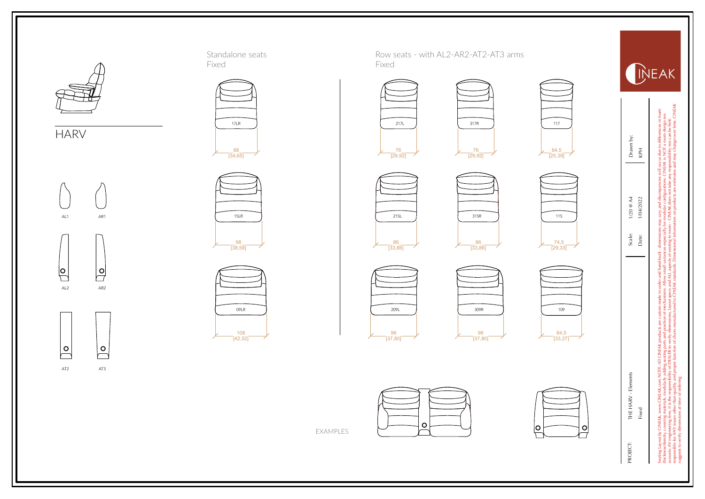![](_page_3_Picture_0.jpeg)

AL2 AR2

 $\overline{S}$ 

 $\sqrt{\frac{6}{1}}$ 

 $\overline{\beta}$ 

 $\sqrt{\frac{6}{2}}$ 

AT2 AT3

H A R V

![](_page_3_Figure_2.jpeg)

![](_page_3_Figure_3.jpeg)

![](_page_3_Figure_4.jpeg)

![](_page_3_Picture_6.jpeg)

EXAMPLES

![](_page_3_Picture_8.jpeg)

 $\frac{64,5}{[25,39]}$ 

![](_page_3_Picture_10.jpeg)

![](_page_3_Picture_11.jpeg)

![](_page_3_Picture_12.jpeg)

![](_page_3_Picture_14.jpeg)

![](_page_3_Picture_15.jpeg)

![](_page_3_Picture_16.jpeg)

![](_page_3_Picture_17.jpeg)

![](_page_3_Picture_18.jpeg)

![](_page_3_Picture_19.jpeg)

![](_page_3_Picture_20.jpeg)

dimensions may vary and discrepancies will occur due to different<br>esespecially for modular configurations. CINEAK is NOT a noon<br>configuration contract different configurations. CINEAK is NOT a noon Seating Layout by CINEAK, www.CINEAK.com NOTE: All CINEAK products are custom made to order and hand-built - dimensions may vary and discrepancies will occur due to differences in foam<br>hickness/density, overing imm, it is thickness/density, covering materials, modularly adding seating parts and position of mechanisms. Allow small variances-especially for modular configurations. CINEAK is NOT a room design nor<br>accounts AV regimes from it is acoustic AV engineering firm, it is the responsibility of DEALER to verify dimensions, layout spects and aspects of seating to room - CINEAK does not take any responsibility nor can be held<br>reggest to verify dimensions at

Scale: 1/20 @ A4<br>Date: 1/04/2022

responsible for ANY issues other than quality and proper function of chairs manufactured to CINEAK standards. Dimensional information on products are estimates and may change over time. CINEAK<br>Niggests to verliy dimensions

Fixed Date:  $1/04/2022$ 

Drawn by:<br>KPH

INEAK